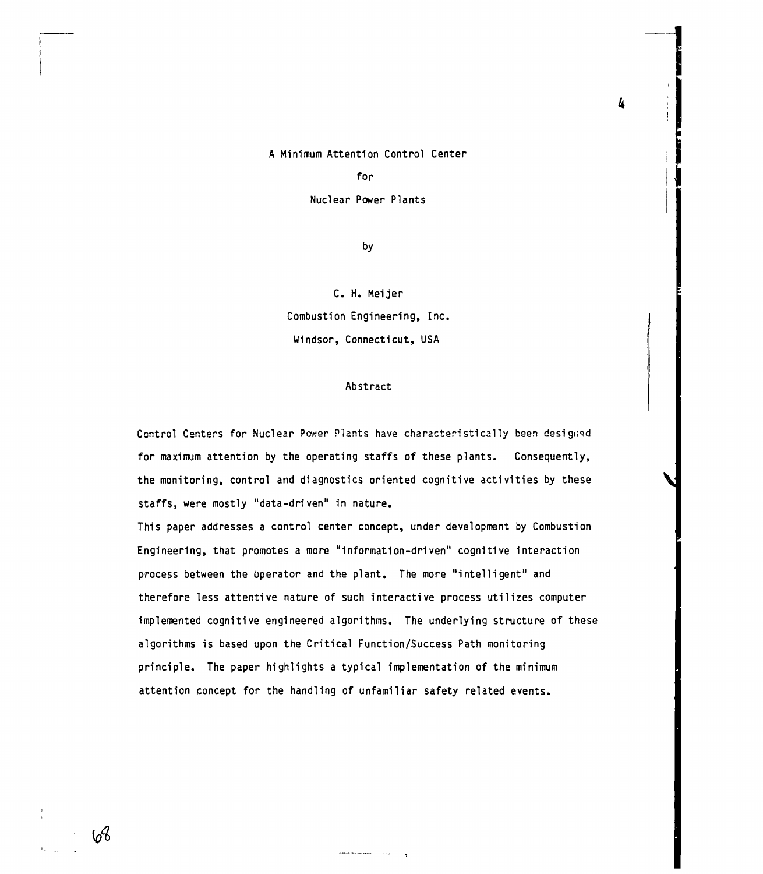### A Minimum Attention Control Center

#### for

Nuclear Power Plants

by

C. H. Meijer **Combustion Engineering, Inc. Windsor, Connecticut, USA**

### **Abstract**

Control Centers for Nuclear Power Plants have characteristically been designed **for maximum attention by the operating staffs of these plants. Consequently, the monitoring, control and diagnostics oriented cognitive activities by these staffs, were mostly "data-driven" in nature.**

**This paper addresses a control center concept, under development by Combustion Engineering, that promotes a more "information-driven" cognitive interaction process between the operator and the plant. The more "intelligent" and therefore less attentive nature of such interactive process utilizes computer implemented cognitive engineered algorithms. The underlying structure of these algorithms is based upon the Critical Function/Success Path monitoring principle. The paper highlights a typical implementation of the minimum attention concept for the handling of unfamiliar safety related events.**

4

 $6<sup>4</sup>$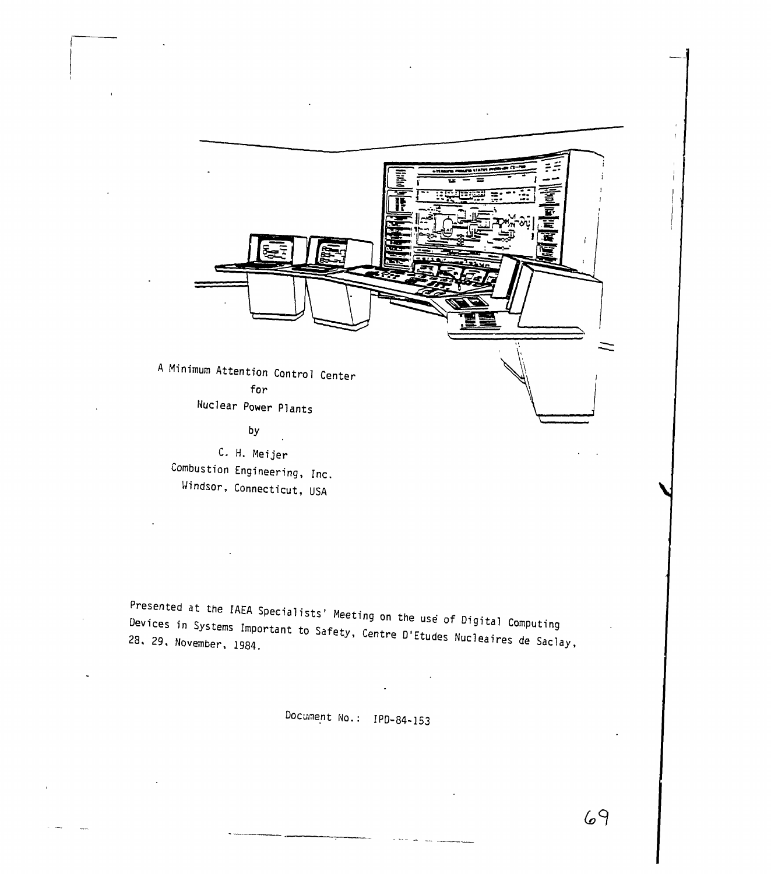

Presented at the IAEA Specialists' Meeting on the use of Digital Computing<br>Devices in Systems Important to Safety, Contre Blasses Devices in Systems Important to Safety, Centre D'Etudes Nucleaires de Saclay,<br>28. 29. November, 1984. 28. 29. November, 1984.

Document No.: IPD-84-153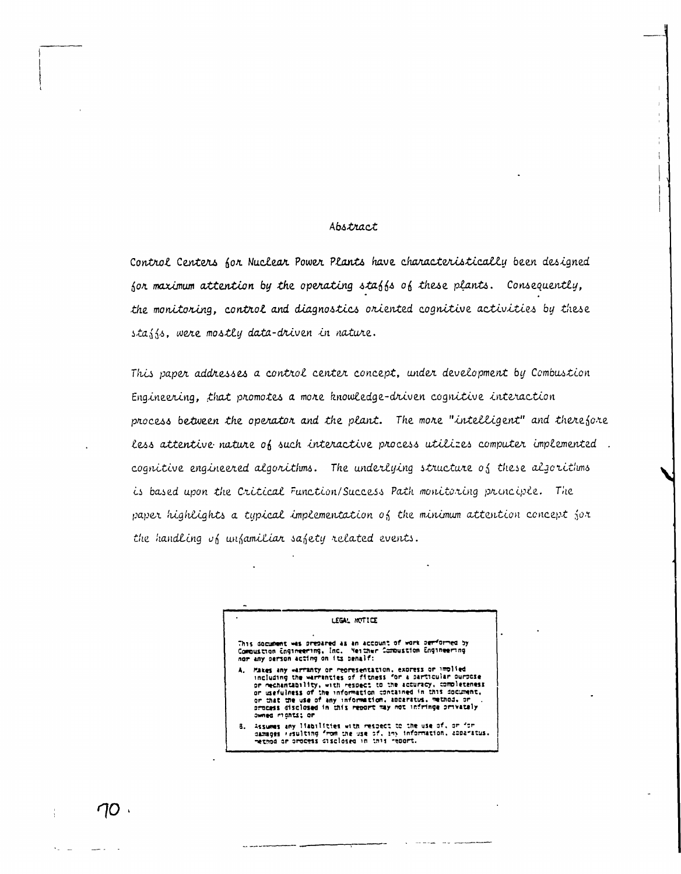### Abstract

Control Centers for Nuclear Power Plants have characteristically been designed for maximum attention by the operating staffs of these plants. Consequently, the monitoring, control and diagnostics oriented cognitive activities by these stajjs, were mostly data-driven in nature.

This paper addresses a control center concept, under development by Combustion Engineering, that promotes a more knowledge-driven cognitive interaction process between the operator and the plant. The more "intelligent" and therefore less attentive nature of such interactive process utilizes computer implemented. cognitive engineered algorithms. The underlying structure of these algorithms is based upon the Critical Function/Success Path monitoring principle. The paper highlights a typical implementation of the minimum attention concept for the handling of unfamiliar safety related events.

# LEGAL MOTICE This document was prepared as an account of work performed by<br>Compustion Engineering, Inc. Heither Compustion Engineering nor any person acting on its behalf: Places any warranty or representation, express or implied<br>including the warranties of fitness for a particular purpose<br>or mechantability, with respect to the accuracy, completeness<br>or usefulness of the information constane Assumes any liabilities with respect to the use of, or for<br>damages resulting from the use of, iny information, apparatus.<br>method or process disclosed in this report. a.

 $\cap$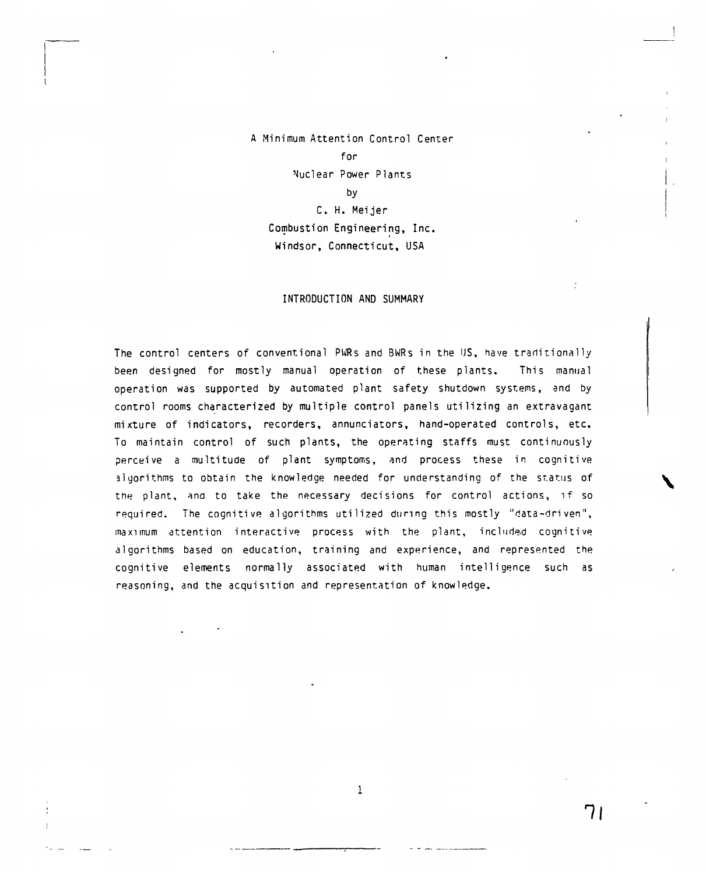# **A Minimum Attention Control Center for Nuclear Power Plants by C. H. Meijer Combustion Engineering, Inc. Windsor, Connecticut, USA**

#### **INTRODUCTION AND SUMMARY**

**The control centers of conventional PWRs and BWRs in the US, have traditionally been designed for mostly manual operation of these plants. This manual operation was supported by automated plant safety shutdown systems, and by control rooms characterized by multiple control panels utilizing an extravagant mixture of indicators, recorders, annunciators, hand-operated controls, etc. To maintain control of such plants, the operating staffs must continuously perceive a multitude of plant symptoms, and process these in cognitive algorithms to obtain the knowledge needed for understanding of the status of the plant, and to take the necessary decisions for control actions, if so required. The cognitive algorithms utilized during this mostly "data-driven", maximum attention interactive process with the plant, included cognitive algorithms based on education, training and experience, and represented the cognitive elements normally associated with human intelligence such as reasoning, and the acquisition and representation of knowledge.**

 $\mathbf{1}$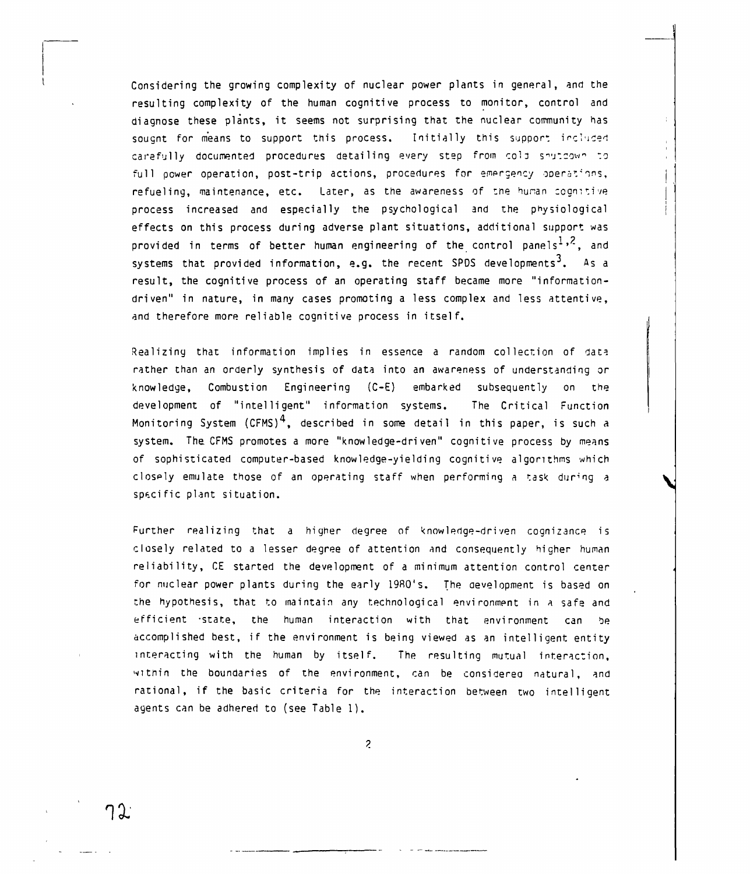Considering the growing complexity of nuclear power plants in general, and the resulting complexity of the human cognitive process to monitor, control and diagnose these plants, it seems not surprising that the nuclear community has sougnt for means to support this process. Initially this support included carefully documented procedures detailing every step from cold shutdown to full power operation, post-trip actions, procedures for emergency operations, refueling, maintenance, etc. Later, as the awareness of the hunan cognitive process increased and especially the psychological and the physiological effects on this process during adverse plant situations, additional support was provided in terms of better human engineering of the control panels<sup>1,2</sup>, and systems that provided information, e.g. the recent SPDS developments<sup>3</sup>. As a result, the cognitive process of an operating staff became more "informationdriven" in nature, in many cases promoting a less complex and less attentive, and therefore more reliable cognitive process in itself.

Realizing that information implies in essence a random collection of data rather than an orderly synthesis of data into an awareness of understanding or knowledge, Combustion Engineering (C-E) embarked subsequently on the development of "intelligent" information systems. The Critical Function Monitoring System  $(CFMS)^4$ , described in some detail in this paper, is such a system. The CFMS promotes a more "knowledge-driven" cognitive process by means of sophisticated computer-based knowledge-yielding cognitive algorithms which closply emulate those of an operating staff when performing a task during a specific plant situation.

Further realizing that a higher degree of knowledge-driven cognizance is closely related to a lesser degree of attention and consequently higher human reliability, CE started the development of a minimum attention control center for nuclear power plants during the early 19R0's. The development is based on the hypothesis, that to maintain any technological environment in a safe and efficient -state, the human interaction with that environment can be accomplished best, if the environment is being viewed as an intelligent entity interacting with the human by itself. The resulting mutual interaction, within the boundaries of the environment, can be considered natural, and rational, if the basic criteria for the interaction between two intelligent agents can be adhered to (see Table 1) .

 $\tilde{z}$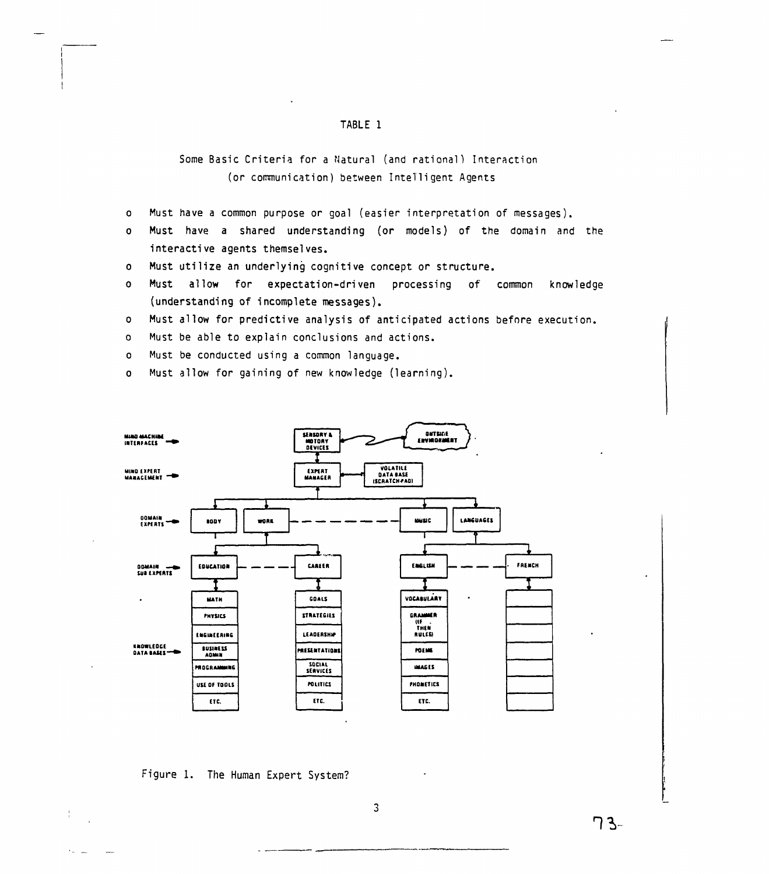### TABLE 1

# Some Basic Criteria for a Natural (and rational) Interaction (or communication) between Intelligent Agents

- Must have a common purpose or goal (easier interpretation of messages).  $\bullet$
- Must have a shared understanding (or models) of the domain and the  $\mathbf{o}$ interactive agents themselves.
- Must utilize an underlying cognitive concept or structure.  $\mathbf{o}$
- Must allow for expectation-driven processing of common knowledge  $\Omega$ (understanding of incomplete messages).

Must allow for predictive analysis of anticipated actions before execution.  $\circ$ 

Must be able to explain conclusions and actions.  $\Omega$ 

Must be conducted using a common language.  $\bullet$ 

Must allow for gaining of new knowledge (learning).  $\mathbf{o}$ 



## Figure 1. The Human Expert System?

ገ 3-

 $\overline{3}$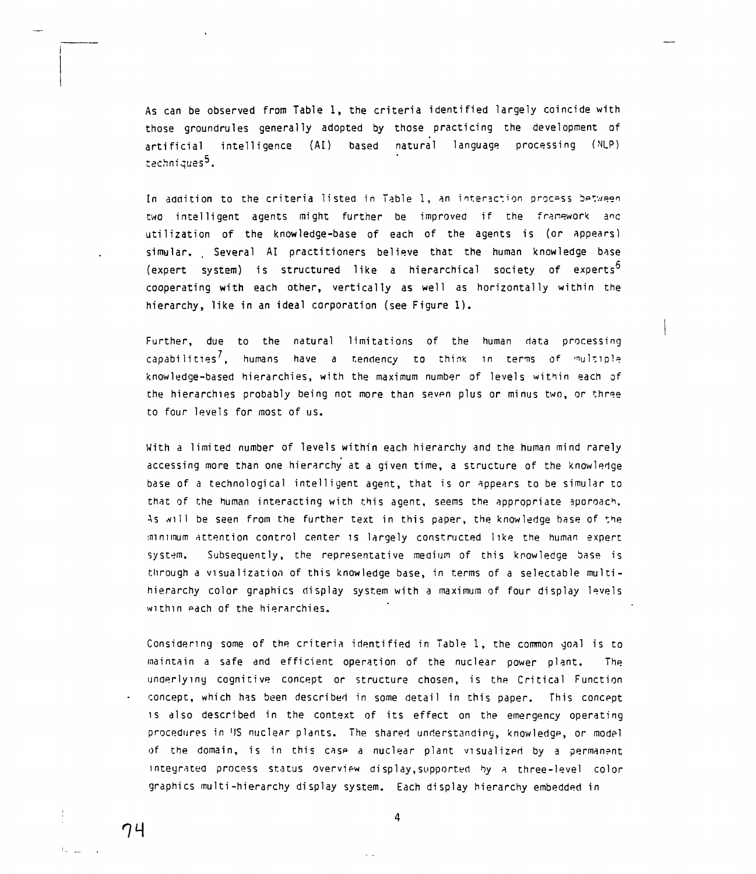As can be observed from Table 1, the criteria identified largely coincide with those groundrules generally adopted by those practicing the development of artificial intelligence (AI) based natural language processing (Nl\_P) techniques<sup>5</sup>.

In addition to the criteria listed in Table 1, an interaction process between two intelligent agents might further be improved if the franework utilization of the knowledge-base of each of the agents is (or appears) simular. Several AI practitioners believe that the human knowledge base (expert system) is structured like a hierarchical society of experts<sup>5</sup> cooperating with each other, vertically as well as horizontally within the hierarchy, like in an ideal corporation (see Figure 1) .

Further, due to the natural limitations of the human data processing capabilities', humans have a tendency to think in terms of multiple knowledge-based hierarchies, with the maximum number of levels within each of the hierarchies probably being not more than seven plus or minus two, or three to four levels for most of us.

With a limited number of levels within each hierarchy and the human mind rarely accessing more than one hierarchy at a given time, a structure of the knowledge base of a technological intelligent agent, that is or appears to be simular to that of the human interacting with this agent, seems the appropriate aporoach. As will be seen from the further text in this paper, the knowledge base of the minimum attention control center is largely constructed like the human expert system. Subsequently, the representative medium of this knowledge base is through a visualization of this knowledge base, in terms of a selectable multihierarchy color graphics display system with a maximum of four display levels within each of the hierarchies.

Considering some of the criteria identified in Table 1, the common goal is to maintain a safe and efficient operation of the nuclear power plant. The underlying cognitive concept or structure chosen, is the Critical Function concept, which has been described in some detail in this paper. This concept is also described in the context of its effect on the emergency operating procedures in 'IS nuclear plants. The shared understanding, knowledge, or model of the domain, is in this case a nuclear plant visualized by a permanent integrated process status overview display,supported by a three-level color graphics multi-hierarchy display system. Each display hierarchy embedded in



 $\mathbf{1}$  .

 $\overline{a}$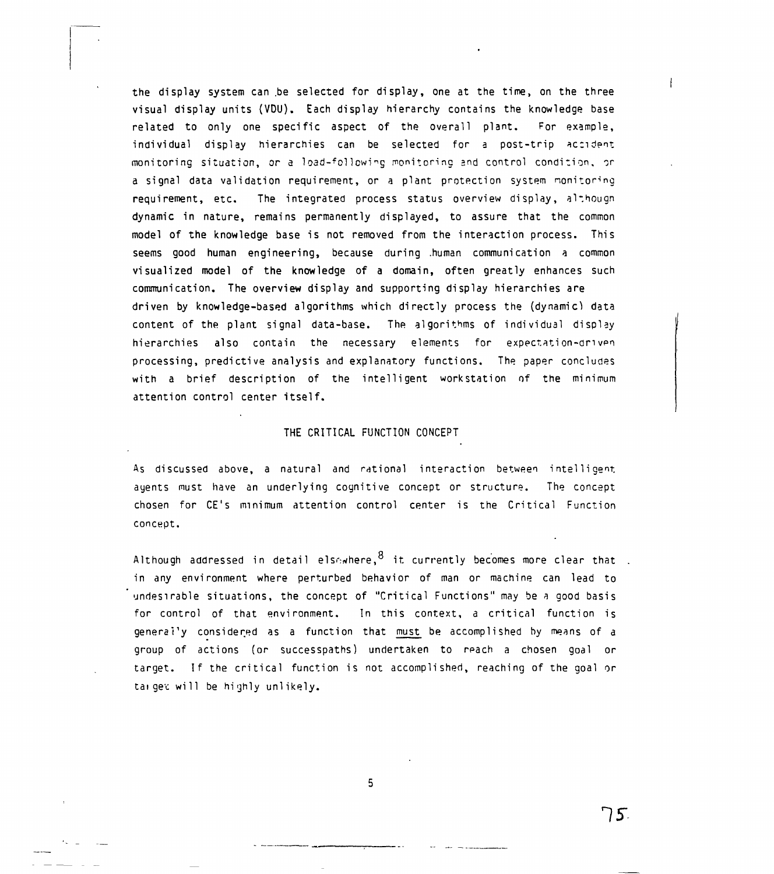the display system can be selected for display, one at the time, on the three visual display units (VDU). Each display hierarchy contains the knowledge base related to only one specific aspect of the overall plant. For example, individual display hierarchies can be selected for a post-trip accident monitoring situation, or a load-following monitoring and control condition, or a signal data validation requirement, or a plant protection system monitoring requirement, etc. The integrated process status overview display, although dynamic in nature, remains permanently displayed, to assure that the common model of the knowledge base is not removed from the interaction process. This seems good human engineering, because during .human communication a common visualized model of the knowledge of a domain, often greatly enhances such communication. The overview display and supporting display hierarchies are driven by knowledge-based algorithms which directly process the (dynamic) data content of the plant signal data-base. The algorithms of individual display hierarchies also contain the necessary elements for expectation-driven processing, predictive analysis and explanatory functions. The paper concludes with a brief description of the intelligent workstation of the minimum attention control center itself.

### THE CRITICAL FUNCTION CONCEPT

As discussed above, a natural and rational interaction between intelligent, ayents must have an underlying cognitive concept or structure. The concept chosen for CE's minimum attention control center is the Critical Function concept.

Although addressed in detail els $\epsilon$ where,  $^8$  it currently becomes more clear that . in any environment where perturbed behavior of man or machine can lead to undesirable situations, the concept of "Critical Functions" may be a good basis for control of that environment. In this context, a critical function is generally considered as a function that must be accomplished by means of a group of actions (or successpaths) undertaken to reach a chosen goal or target. If the critical function is not accomplished, reaching of the goal or tai get will be highly unlikely.

5

**15:**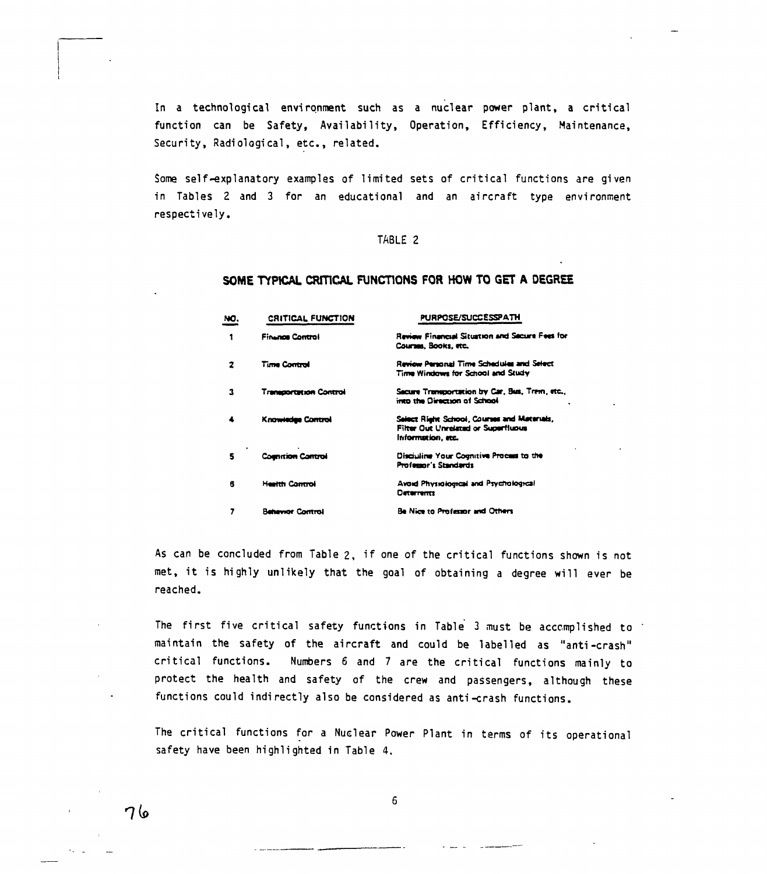In a technological environment such as a nuclear power plant, a critical function can be Safety, Availability, Operation, Efficiency, Maintenance, Security, Radiological, etc., related.

Some self-explanatory examples of limited sets of critical functions are given in Tables 2 and 3 for an educational and an aircraft type environment respectively.

### TABLE 2

### SOME TYPICAL CRITICAL FUNCTIONS FOR HOW TO GET A DEGREE

| NO. | <b>CRITICAL FUNCTION</b>      | PURPOSE/SUCCESSPATH                                                                                            |  |  |
|-----|-------------------------------|----------------------------------------------------------------------------------------------------------------|--|--|
| 1   | <b>Finance Control</b>        | Review Financial Situation and Secure Fees for<br>Courses, Books, etc.                                         |  |  |
| 2   | <b>Time Control</b>           | Review Personal Time Schedules and Select<br>Time Windows for School and Study                                 |  |  |
| 3   | <b>Transportation Control</b> | Secure Transportation by Car, Bus, Trem, etc.,<br>into the Direction of School                                 |  |  |
|     | <b>Knowledge Control</b>      | Select Rieht School, Courses and Materials,<br><b>Filter Out Unrelated or Superfluous</b><br>information, etc. |  |  |
| s   | <b>Committen Control</b>      | Disciuline Your Cognitive Process to the<br><b>Professor's Standards</b>                                       |  |  |
| 6   | <b>Health Control</b>         | Avoid Physiological and Psychological<br>Deterrents                                                            |  |  |
|     | hawor Control                 | Be Nice to Professor and Others                                                                                |  |  |

As can be concluded from Table 2, if one of the critical functions shown is not met, it is highly unlikely that the goal of obtaining a degree will ever be reached.

The first five critical safety functions in Table 3 must be accomplished to maintain the safety of the aircraft and could be labelled as "anti-crash" critical functions. Numbers 6 and 7 are the critical functions mainly to protect the health and safety of the crew and passengers, although these functions could indirectly also be considered as anti-crash functions.

The critical functions for a Nuclear Power Plant in terms of its operational safety have been highlighted in Table 4.

76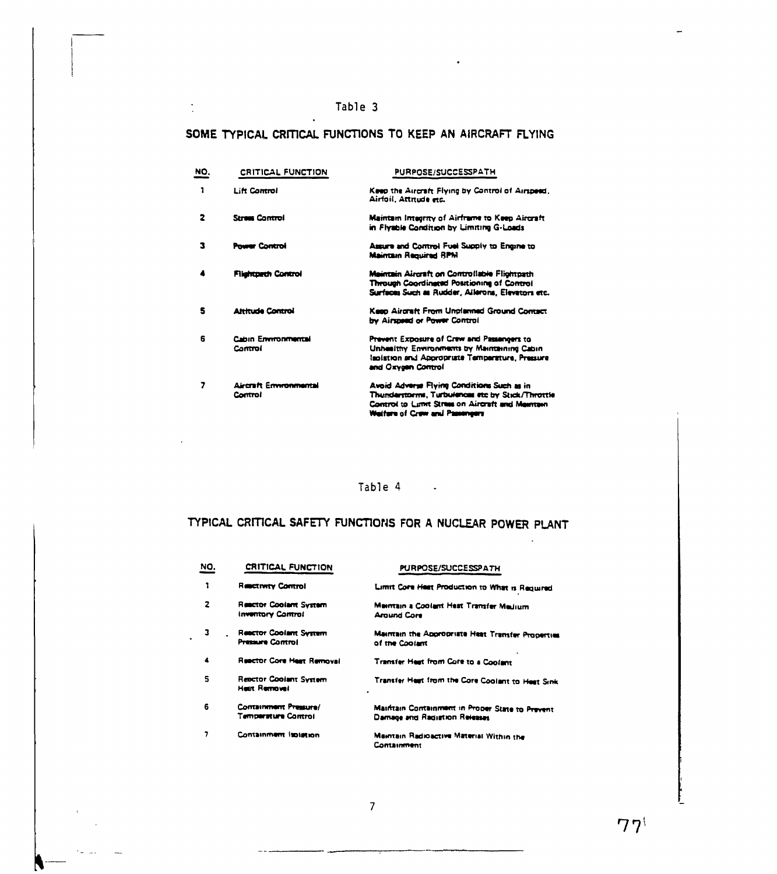$\frac{1}{2}$ 

 $\epsilon_{\rm{eff}}$  and

# SOME TYPICAL CRITICAL FUNCTIONS TO KEEP AN AIRCRAFT FLYING

| NO. | <b>CRITICAL FUNCTION</b>              | PURPOSE/SUCCESSPATH<br>Keep the Aircraft Flying by Control of Airspeed,<br>Airfoil, Attitude etc.                                                                                    |  |  |
|-----|---------------------------------------|--------------------------------------------------------------------------------------------------------------------------------------------------------------------------------------|--|--|
| 1   | <b>Lift Control</b>                   |                                                                                                                                                                                      |  |  |
| 2   | <b>Stress Control</b>                 | <b>Maintain Integrity of Airframe to Keep Aircraft</b><br>in Flyable Condition by Limiting G-Loads                                                                                   |  |  |
| з   | <b>Power Control</b>                  | Assure and Control Fuel Supply to Engine to<br><b>Maintain Required RPM</b>                                                                                                          |  |  |
|     | <b>Flightpach Control</b>             | Maintain Aircraft on Controllable Flichtpath<br><b>Through Coordingesd Positioning of Control</b><br>Surfaces Such as Rudder, Allerons, Elevators etc.                               |  |  |
| 5   | <b>Attribute Control</b>              | Keep Aircraft From Unplanned Ground Contact<br>by Airspeed or Power Control                                                                                                          |  |  |
| 6   | <b>Cabin Environmental</b><br>Control | Prevent Exposure of Crew and Passangers to<br>Unhealthy Environments by Maintaining Cabin<br>laoistion and Appropriate Temperature, Pressure<br>and Oxygen Control                   |  |  |
| 7   | Aircraft Enwronmantal<br>Control      | Avoid Adverse Flying Conditions Such as in<br>Thunderstorms, Turbulences etc by Stick/Throttle<br>Control to Limit Stress on Aircraft and Meentein<br>Welfare of Craw and Passengers |  |  |

Table 4 -

# TYPICAL CRITICAL SAFETY FUNCTIONS FOR A NUCLEAR POWER PLANT

 $\mathbb{Z}^2$ 

| NO. | CRITICAL FUNCTION                                        | PURPOSE/SUCCESSPATH                                                              |
|-----|----------------------------------------------------------|----------------------------------------------------------------------------------|
|     | <b>Reservery Control</b>                                 | Limit Core Heat Production to What is Required                                   |
| 2   | <b>Reactor Coolant System</b><br>Inventory Control       | Maintain a Coolant Heat Transfer Medium<br>Around Core                           |
| з   | <b>Reactor Coolant System</b><br><b>Pressure Control</b> | Maintain the Appropriate Heat Transfer Properties<br>of the Coolant              |
| 4   | <b>Reactor Core Heat Removal</b>                         | Transfer Heat from Core to a Coolant                                             |
| s   | Reactor Coolant System<br>Heilt Removal                  | Transfer Heat from the Core Coolant to Heat Sink<br>$\bullet$                    |
| 6   | Containment Pressure/<br>Temperature Control             | Maintain Containment in Proper State to Prevent<br>Damage and Radistion Releases |
| 7   | Containment Isolation                                    | Maintain Radioactive Material Within the<br><b>Containment</b>                   |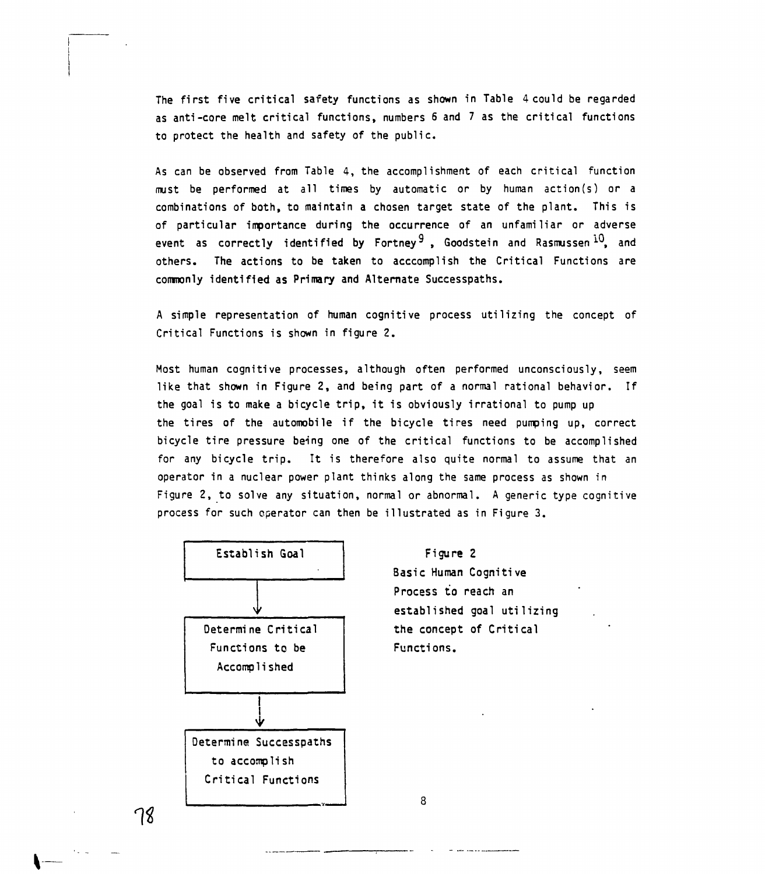The first five critical safety functions as shown in Table 4 could be regarded as anti-core melt critical functions, numbers 6 and 7 as the critical functions to protect the health and safety of the public.

As can be observed from Table 4, the accomplishment of each critical function must be performed at all times by automatic or by human action(s) or a combinations of both, to maintain a chosen target state of the plant. This is of particular importance during the occurrence of an unfamiliar or adverse event as correctly identified by Fortney<sup>9</sup> , Goodstein and Rasmussen<sup>10</sup>, and others. The actions to be taken to acccomplish the Critical Functions are commonly identified as Primary and Alternate Successpaths.

A simple representation of human cognitive process utilizing the concept of Critical Functions is shown in figure 2.

Most human cognitive processes, although often performed unconsciously, seem like that shown in Figure 2, and being part of a normal rational behavior. If the goal is to make a bicycle trip, it is obviously irrational to pump up the tires of the automobile if the bicycle tires need pumping up, correct bicycle tire pressure being one of the critical functions to be accomplished for any bicycle trip. It is therefore also quite normal to assume that an operator in a nuclear power plant thinks along the same process as shown in Figure 2, to solve any situation, normal or abnormal. A generic type cognitive process for such operator can then be illustrated as in Figure 3.

8



**Figure 2 Basic Human Cognitive Process to reach an established goal utilizing the concept of Critical Functions.**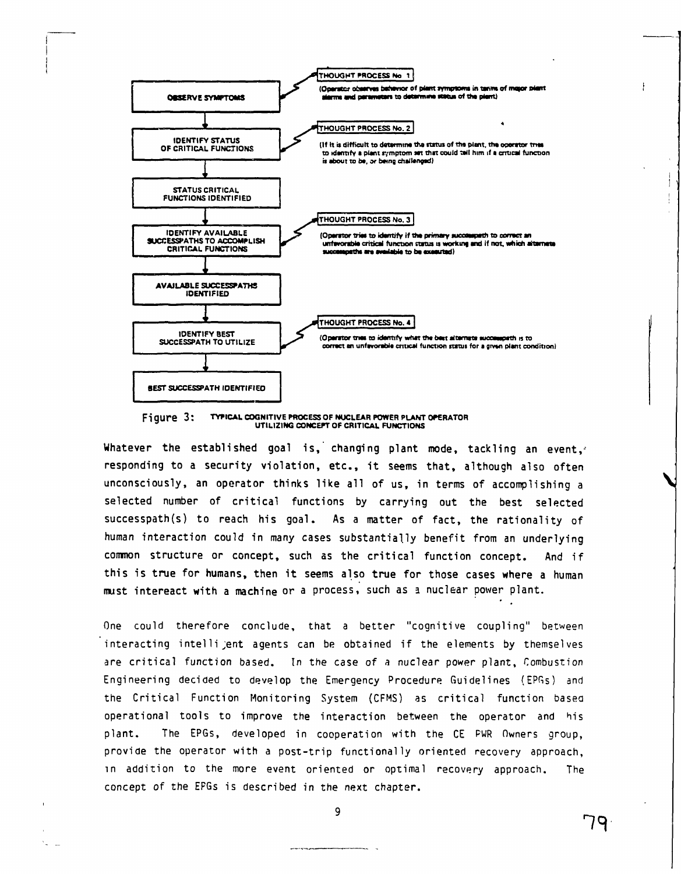

Figure 3: TYPICAL COGNITIVE PROCESS OF NUCLEAR POWER PLANT OPERATOR UTILIZING CONCEPT OF CRITICAL FUNCTIONS

Whatever the established goal is, changing plant mode, tackling an event, responding to a security violation, etc., it seems that, although also often unconsciously, an operator thinks like all of us, in terms of accomplishing a selected number of critical functions by carrying out the best selected successpath(s) to reach his goal. As a matter of fact, the rationality of human interaction could in many cases substantially benefit from an underlying common structure or concept, such as the critical function concept. And if this is true for humans, then it seems also true for those cases where a human must intereact with a machine or a process, such as a nuclear power plant.

One could therefore conclude, that a better "cognitive coupling" between interacting intelli ent agents can be obtained if the elements by themselves are critical function based. In the case of a nuclear power plant, Combustion Engineering decided to develop the Emergency Procedure Guidelines (EPGs) and the Critical Function Monitoring System (CFMS) as critical function based operational tools to improve the interaction between the operator and his plant. The EPGs, developed in cooperation with the CE PWR Owners group, provide the operator with a post-trip functionally oriented recovery approach, in addition to the more event oriented or optimal recovery approach. The concept of the EPGs is described in the next chapter.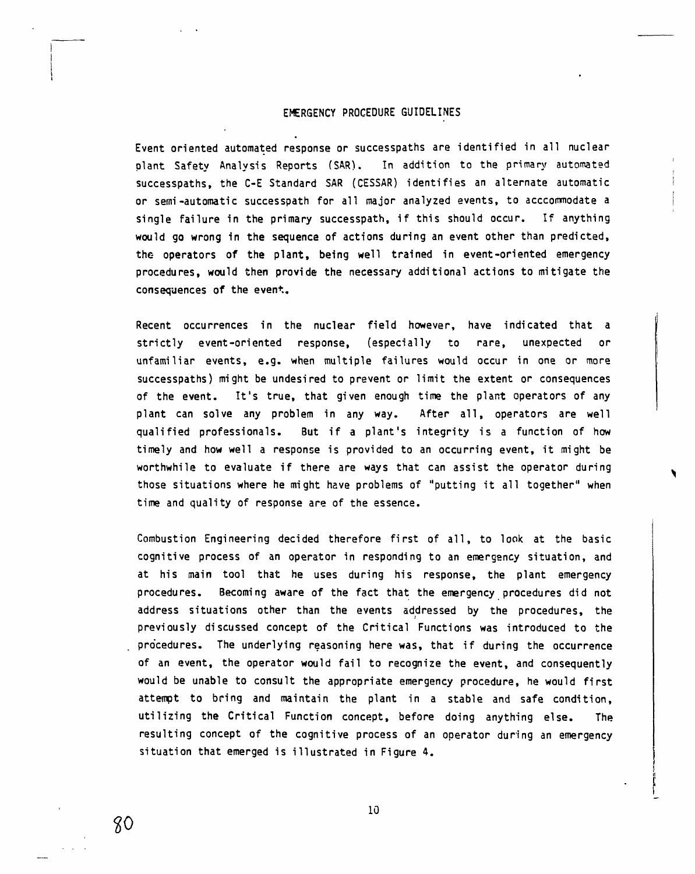### **EMERGENCY PROCEDURE GUIDELINES**

**Event oriented automated response or successpaths are identified in all nuclear plant Safety Analysis Reports (SAR). In addition to the primary automated successpaths, the C-E Standard SAR (CESSAR) identifies an alternate automatic or semi-automatic successpath for all major analyzed events, to acccommodate a single failure in the primary successpath, if this should occur. If anything would go wrong in the sequence of actions during an event other than predicted, the operators of the plant, being well trained in event-oriented emergency procedures, would then provide the necessary additional actions to mitigate the consequences of the event.**

**Recent occurrences in the nuclear field however, have indicated that a strictly event-oriented response, (especially to rare, unexpected or unfamiliar events, e.g. when multiple failures would occur in one or more successpaths) might be undesired to prevent or limit the extent or consequences of the event. It's true, that given enough time the plant operators of any plant can solve any problem in any way. After all, operators are well qualified professionals. But if a plant's integrity is a function of how timely and how well a response is provided to an occurring event, it might be worthwhile to evaluate if there are ways that can assist the operator during those situations where he might have problems of "putting it all together" when time and quality of response are of the essence.**

**Combustion Engineering decided therefore first of all, to look at the basic cognitive process of an operator in responding to an emergency situation, and at his main tool that he uses during his response, the plant emergency procedures. Becoming aware of the fact that the emergency procedures did not address situations other than the events addressed by the procedures, the previously discussed concept of the Critical Functions was introduced to the procedures. The underlying reasoning here was, that if during the occurrence of an event, the operator would fail to recognize the event, and consequently would be unable to consult the appropriate emergency procedure, he would first attempt to bring and maintain the plant in a stable and safe condition, utilizing the Critical Function concept, before doing anything else. The resulting concept of the cognitive process of an operator during an emergency situation that emerged is illustrated in Figure 4.**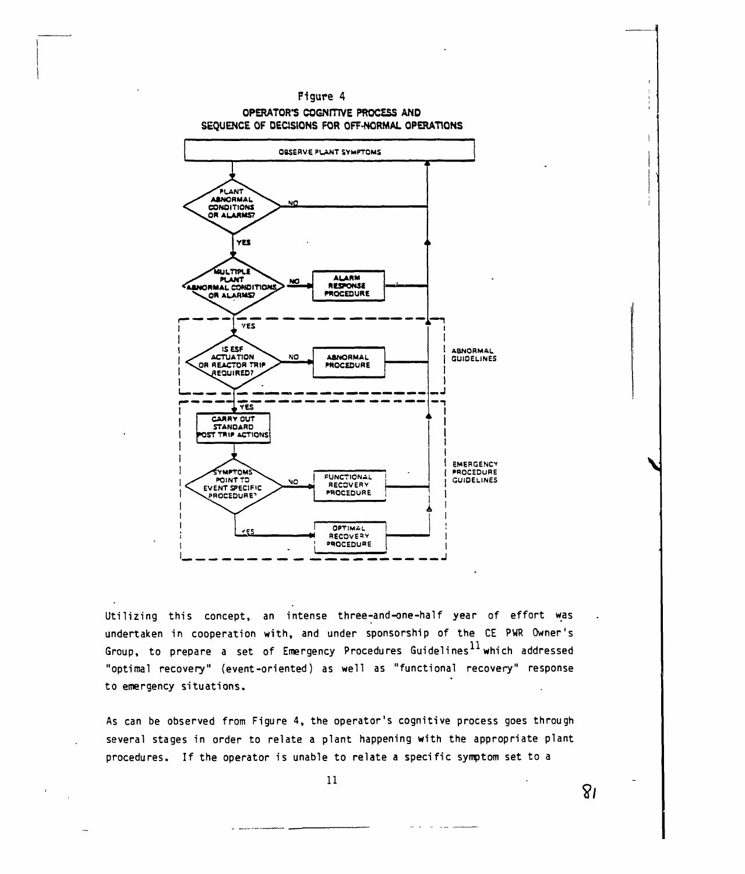

Utilizing this concept, an intense three-and-one-half year of effort was undertaken in cooperation with, and under sponsorship of the CE PWR Owner's Group, to prepare a set of Emergency Procedures Guidelines  $^{11}$  which addressed "optimal recovery" (event-oriented) as well as "functional recovery" response to emergency situations.

As can be observed from Figure 4, the operator's cognitive process goes through several stages in order to relate a plant happening with the appropriate plant procedures. If the operator is unable to relate a specific symptom set to a

**11**

 $8<sub>l</sub>$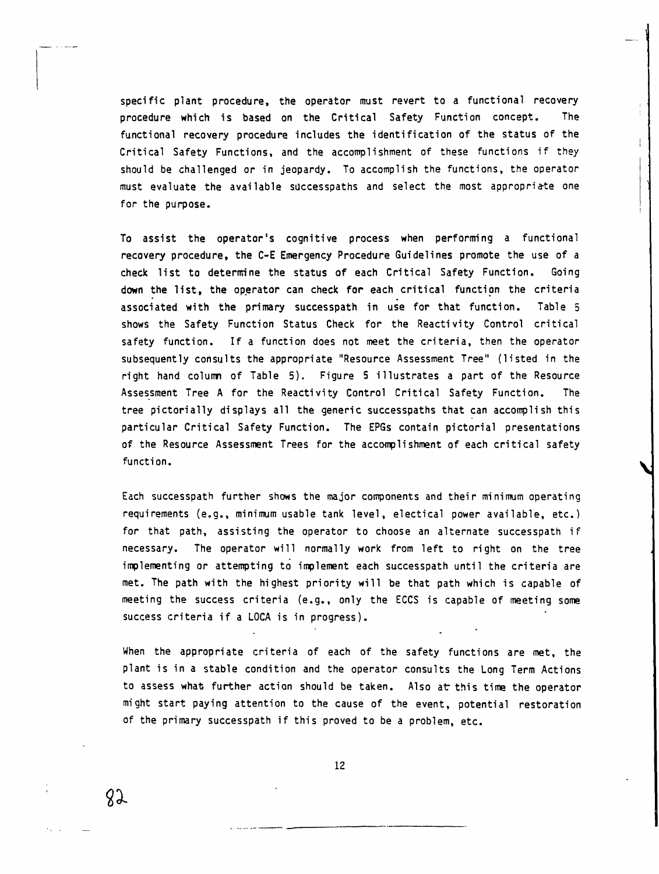**specific plant procedure, the operator must revert to a functional recovery procedure which is based on the Critical Safety Function concept. The functional recovery procedure includes the identification of the status of the Critical Safety Functions, and the accomplishment of these functions if they should be challenged or in jeopardy. To accomplish the functions, the operator must evaluate the available successpaths and select the most appropriate one for the purpose.**

**To assist the operator's cognitive process when performing a functional recovery procedure, the C-E Emergency Procedure Guidelines promote the use of a check list to determine the status of each Critical Safety Function. Going down the list, the operator can check for each critical function the criteria associated with the primary successpath in use for that function. Table 5 shows the Safety Function Status Check for the Reactivity Control critical safety function. If a function does not meet the criteria, then the operator subsequently consults the appropriate "Resource Assessment Tree" (listed in the right hand column of Table 5). Figure 5 illustrates a part of the Resource Assessment Tree A for the Reactivity Control Critical Safety Function. The tree pictorially displays all the generic successpaths that can accomplish this particular Critical Safety Function. The EPGs contain pictorial presentations of the Resource Assessment Trees for the accomplishment of each critical safety function.**

**Each successpath further shows the major components and their minimum operating requirements (e.g., minimum usable tank level, electical power available, etc.) for that path, assisting the operator to choose an alternate successpath if necessary. The operator will normally work from left to right on the tree implementing or attempting to implement each successpath until the criteria are met. The path with the highest priority will be that path which is capable of meeting the success criteria (e.g., only the ECCS is capable of meeting some success criteria if a LOCA is in progress).**

**When the appropriate criteria of each of the safety functions are met, the plant is in a stable condition and the operator consults the Long Term Actions to assess what further action should be taken. Also at this time the operator might start paying attention to the cause of the event, potential restoration of the primary successpath if this proved to be a problem, etc.**

**12**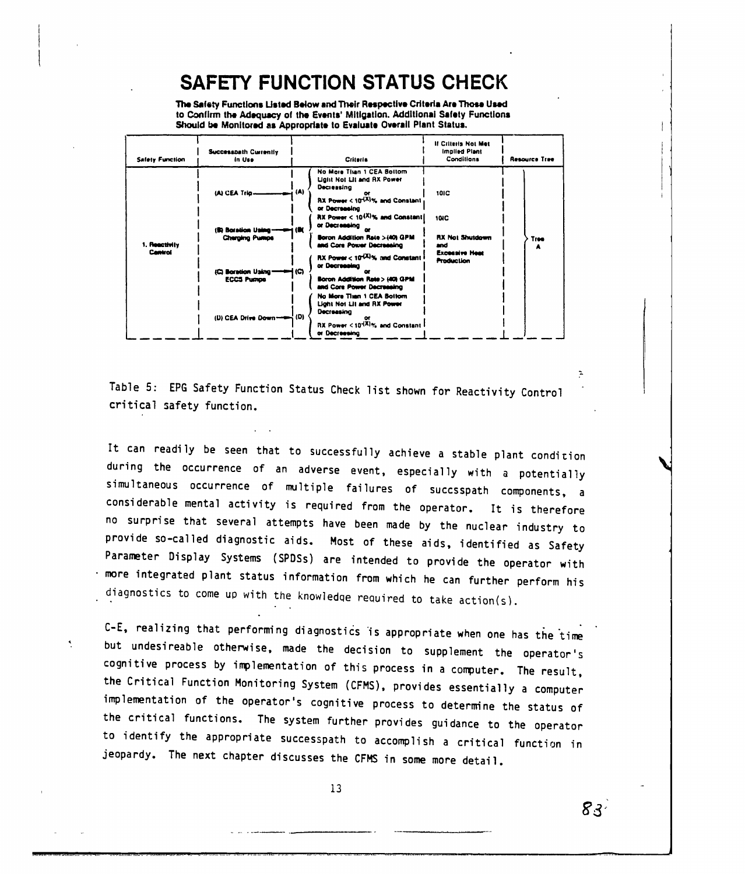# **SAFETY FUNCTION STATUS CHECK**

The Safety Functions Listed Below and Their Respective Criteria Are Those Used to Confirm the Adequacy of the Events' Mitigation. Additional Safety Functions Should be Monitored as Appropriate to Evaluate Overall Plant Status.

| <b>Safety Function</b> | <b>Successbath Currently</b><br>in Use       | <b>Criteria</b>                                                                                                                               | <b>If Criteria Not Met</b><br>Implied Plant<br>Conditions | Resource Tree |
|------------------------|----------------------------------------------|-----------------------------------------------------------------------------------------------------------------------------------------------|-----------------------------------------------------------|---------------|
|                        |                                              | No More Titan 1 CEA Bottom<br><b>Ught Not Lit and RX Power</b><br>Decreasing<br>RX Power < 10 <sup>-(X)</sup> % and Constant<br>or Decreasing | 10IC                                                      |               |
| 1. Reactivity          | (S) Boration Using-<br><b>Cherging Pumps</b> | RX Power $< 10^{(X)}$ % and Constant<br>or Decreasing<br>— K<br>Boron Addition Rate >(40) GPM<br>and Core Power Decreasing                    | <b>10IC</b><br><b>RX Not Shutdown</b><br>and              | Tree          |
| <b>Cantrol</b>         | (C) Boration Using-<br><b>ECCS Pushoe</b>    | RX Power < 10 <sup>-(X)</sup> % and Constant<br>or Decreasing<br>i (C).<br>œ<br>Boron Addition Rate > (40) GPM<br>and Core Power Decreasing   | <b>Excessive Heat</b><br><b>Production</b>                |               |
|                        | (D) CEA Drive Down --- (D)                   | No More Time 1 CEA Bottom<br>Light Not Lit and RX Power<br>Decreasing<br>$RX$ Power $< 10^{4X}$ % and Constant<br>or Decreesing               |                                                           |               |

Table 5: EPG Safety Function Status Check list shown for Reactivity Control critical safety function.

It can readily be seen that to successfully achieve a stable plant condition during the occurrence of an adverse event, especially with a potentially simultaneous occurrence of multiple failures of succsspath components, a considerable mental activity is required from the operator. It is therefore no surprise that several attempts have been made by the nuclear industry to provide so-called diagnostic aids. Most of these aids, identified as Safety Parameter Display Systems (SPDSs) are intended to provide the operator with more integrated plant status information from which he can further perform his diagnostics to come up with the knowledge required to take action(s).

C-E, realizing that performing diagnostics is appropriate when one has the time but undesireable otherwise, made the decision to supplement the operator's cognitive process by implementation of this process in a computer. The result, the Critical Function Monitoring System (CFMS), provides essentially a computer implementation of the operator's cognitive process to determine the status of the critical functions. The system further provides guidance to the operator to identify the appropriate successpath to accomplish a critical function in jeopardy. The next chapter discusses the CFMS in some more detail.

 $\mathcal{A}_1$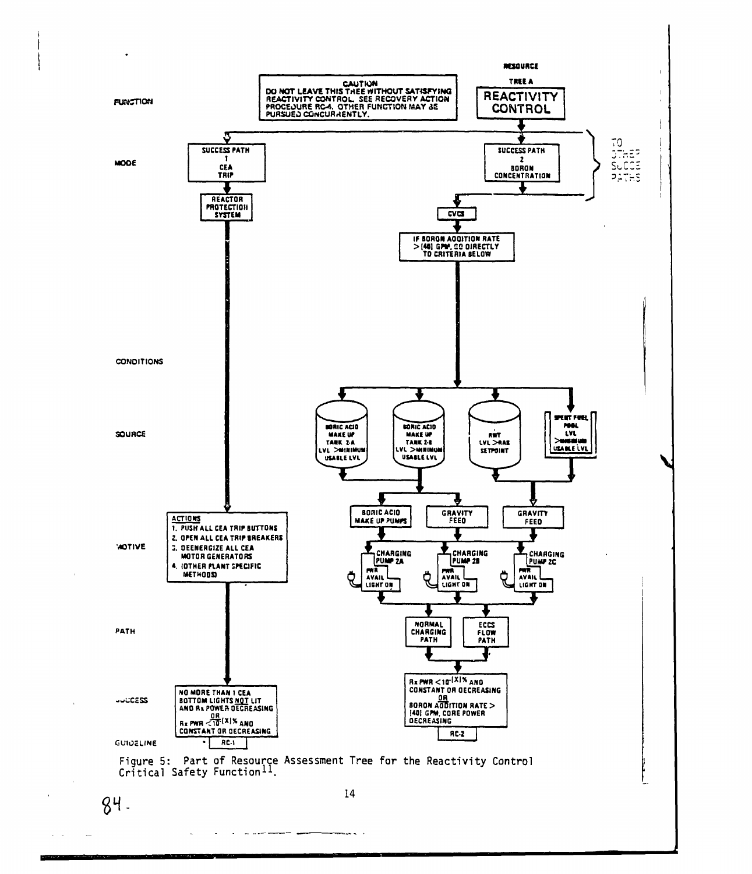

 $\omega = \omega$ 

 $\overline{a}$ 

and the company of the company of the company of the company of the company of the company of the company of the company of the company of the company of the company of the company of the company of the company of the comp

 $\overline{\phantom{a}}$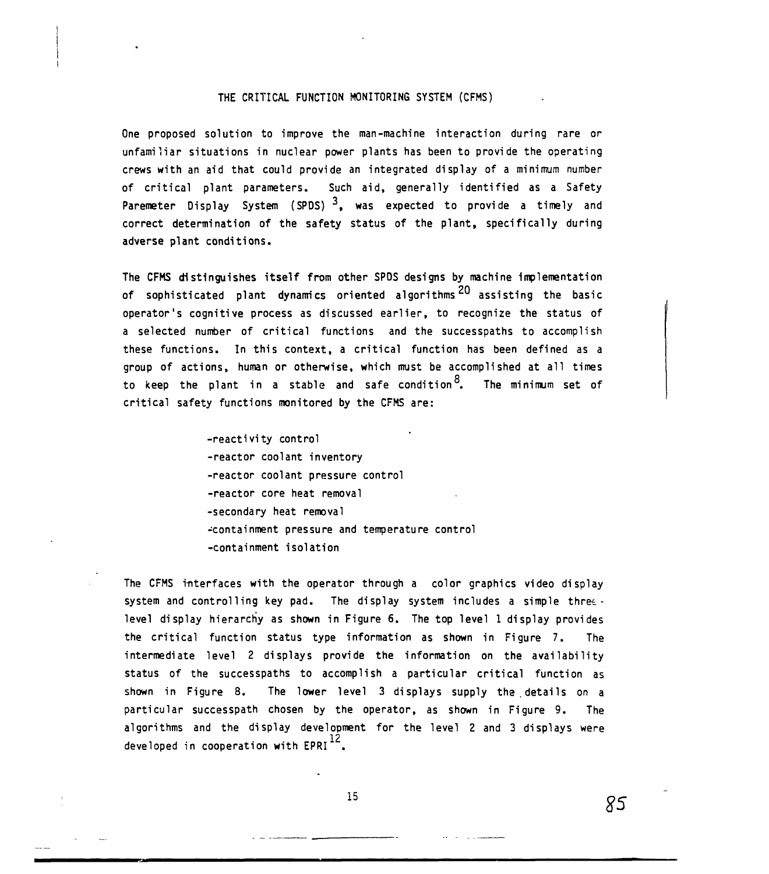#### **THE CRITICAL FUNCTION MONITORING SYSTEM (CFMS)**

**One proposed solution to improve the man-machine interaction during rare or unfamiliar situations in nuclear power plants has been to provide the operating crews with an aid that could provide an integrated display of a minimum number of critical plant parameters. Such aid, generally identified as a Safety Paremeter Display System (SPDS) <sup>3</sup>, was expected to provide a timely and correct determination of the safety status of the plant, specifically during adverse plant conditions.**

**The CFMS distinguishes itself from other SPOS designs by machine implementation** of sophisticated plant dynamics oriented algorithms<sup>20</sup> assisting the basic operator's cognitive process as discussed earlier, to recognize the status of a selected number of critical functions and the successpaths to accomplish these functions. In this context, a critical function has been defined as a group of actions, human or otherwise, which must be accomplished at all times to keep the plant in a stable and safe sendition  $8$  The minimum set of critical safety functions monitored by the CFMS are: **to keep the plant in a stable and safe condition . The minimum set of**

> **-reactivity control -reactor coolant inventory -reactor coolant pressure control -reactor core heat removal -secondary heat removal -containment pressure and temperature control -containment isolation**

**The CFMS interfaces with the operator through a color graphics video display system and controlling key pad. The display system includes a simple thretlevel display hierarchy as shown in Figure 6. The top level 1 display provides the critical function status type information as shown in Figure 7. The intermediate level 2 displays provide the information on the availability status of the successpaths to accomplish a particular critical function as shown in Figure 8. The lower level 3 displays supply the.details on a particular successpath chosen by the operator, as shown in Figure 9. The algorithms and the display development for the level 2 and 3 displays were 12 developed in cooperation with EPRI**

**15**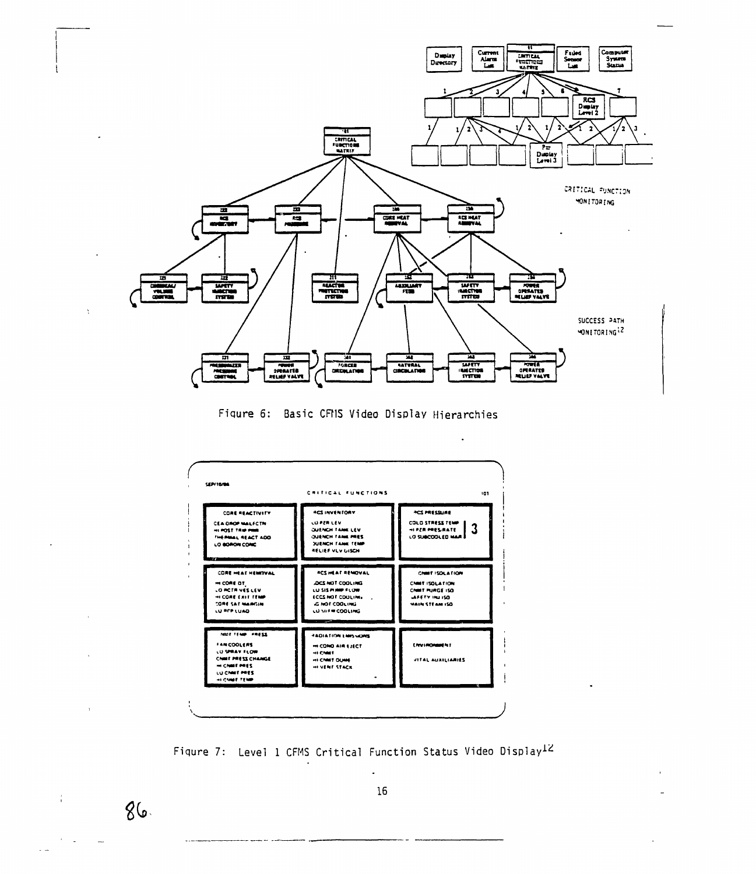

Figure 6: Basic CFMS Video Display Hierarchies



Figure 7: Level 1 CFMS Critical Function Status Video Display12

 $86.$ 

 $\alpha$  $\sim 10$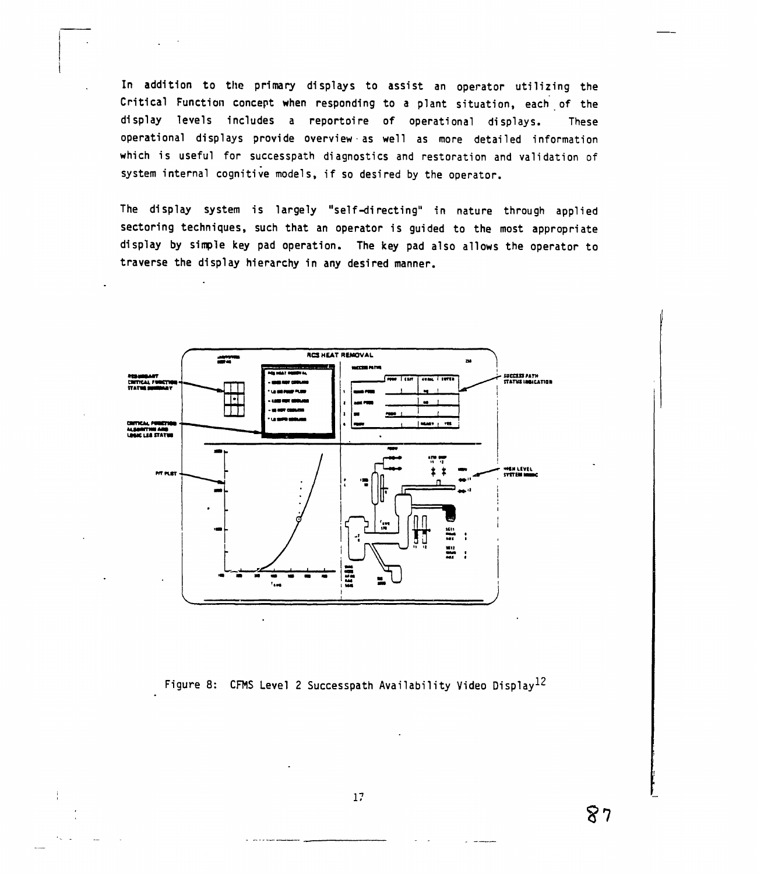In addition to the primary displays to assist an operator utilizing the Critical Function concept when responding to a plant situation, each of the display levels includes a reportoire of operational displays. These operational displays provide overview as well as more detailed information which is useful for successpath diagnostics and restoration and validation of system internal cognitive models, if so desired by the operator.

The display system is largely "self-directing" in nature through applied sectoring techniques, such that an operator is guided to the most appropriate display by simple key pad operation. The key pad also allows the operator to traverse the display hierarchy in any desired manner.



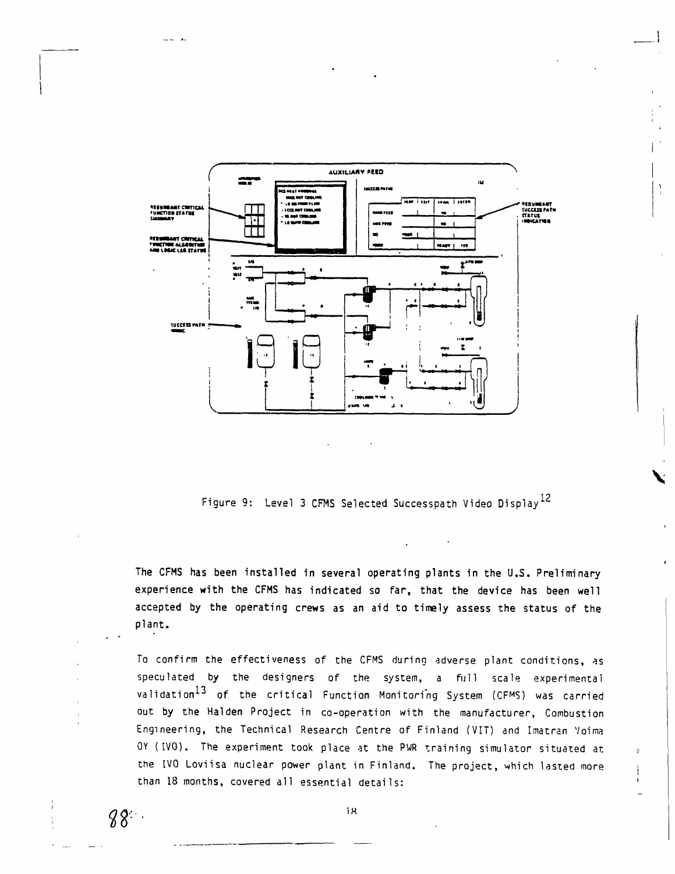

Figure 9: Level 3 CFMS Selected Successpath Video Display<sup>12</sup>

**The CFMS has been installed in several operating plants in the U.S. Preliminary experience with the CFMS has indicated so far, that the device has been well** accepted **by the operating crews as an aid to timely assess** the status of the plant.

To confirm the effectiveness of the CFMS during adverse plant conditions, as speculated by the designers of the system, a full scale experimental validation<sup>13</sup> of the critical Function Monitoring System (CFMS) was carried out by the Halden Project in co-operation with the manufacturer, Combustion Engineering, the Technical Research Centre of Finland (VIT) and Imatran Voima OY (IVO). The experiment took place at the PWR training simulator situated at the IVO Loviisa nuclear power plant in Finland. The project, which lasted more than 18 months, covered all essential details:

 $88.$ 

ده است.<br>دا

1H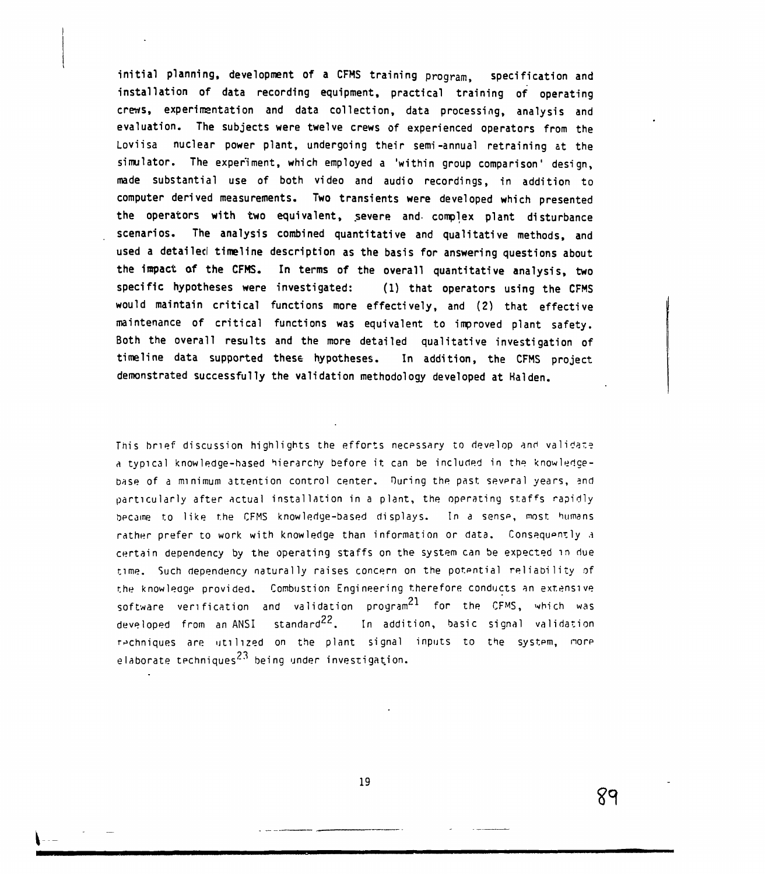**initial planning, development of a CFMS training program, specification and installation of data recording equipment, practical training of operating crews, experimentation and data collection, data processing, analysis and evaluation. The subjects were twelve crews of experienced operators from the Loviisa nuclear power plant, undergoing their semi-annual retraining at the simulator. The experiment, which employed a 'within group comparison' design, made substantial use of both video and audio recordings, in addition to computer derived measurements. Two transients were developed which presented the operators with two equivalent, severe and- complex plant disturbance scenarios. The analysis combined quantitative and qualitative methods, and used a detailed timeline description as the basis for answering questions about the impact of the CFMS. In terms of the overall quantitative analysis, two specific hypotheses were investigated: (1) that operators using the CFMS would maintain critical functions more effectively, and (2) that effective maintenance of critical functions was equivalent to improved plant safety. Both the overall results and the more detailed qualitative investigation of timeline data supported these hypotheses. In addition, the CFMS project demonstrated successfully the validation methodology developed at Halden.**

This brief discussion highlights the efforts necpssary to develop and validate a typical knowledge-based hierarchy before it can be included in the know ledgebase of a minimum attention control center. Ouring the past sevpral years, and particularly after actual installation in a plant, the operating staffs rapidly became to like the CFMS knowledge-based displays. In a sense, most humans rather prefer to work with knowledge than information or data. Consequently a certain dependency by the operating staffs on the system can be expected in due time. Such dependency naturally raises concern on the potential reliability of the knowledge provided. Combustion Engineering therefore conducts an extensive software verification and validation program $^{21}$  for the CFMS, which was developed from an ANSI standard<sup>22</sup>. In addition, basic signal validation techniques are utilized on the plant signal inputs to the systpm, nore elaborate techniques $^{23}$  being under investigation.

19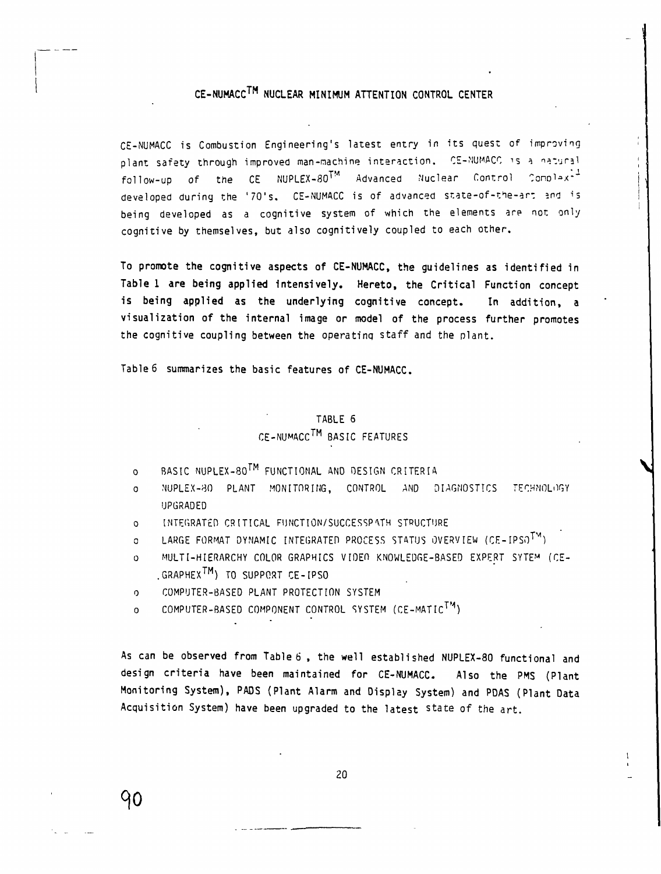## **CE-NUMACC™ NUCLEAR MINIMUM ATTENTION CONTROL CENTER**

CE-NUMACC is Combustion Engineering's latest entry in its quest of improving plant safety through improved man-machine interaction. CE-NUMACC is a natural follow-up of the CE NUPLEX-80 $^{\text{TM}}$  Advanced Nuclear Control Conolax- $^{\text{\texttt{+}}}$ developed during the '70's. CE-NUMACC is of advanced state-of-the-art and is being developed as a cognitive system of which the elements are not only cognitive by themselves, but also cognitively coupled to each other.

**To promote the cognitive aspects of CE-NUMACC, the guidelines as identified in Table 1 are being applied intensively. Hereto, the Critical Function concept is being applied as the underlying cognitive concept. In addition, a visualization of the internal image or model of the process further promotes the cognitive coupling between the** operatinq staff and the plant.

**Table** 6 **summarizes the basic features of CE-NUMACC.**

# TABLE 6 CE-NUMACC™ BASIC FEATURES

- o BASIC NUPLEX-80<sup>TM</sup> FUNCTIONAL AND DESIGN CRITERIA
- o NUPLEX-80 PLANT MONITORING, CONTROL AND DIAGNOSTICS TECHNOLOGY UPGRADED
- o INTEGRATED CRITICAL FIJNCTION/SUCCESSPVTH STRUCTURE
- o LARGE FORMAT DYNAMIC INTEGRATED PROCESS STATUS OVERVIEW (CE-IPSOTM)
- o MULTI-HIERARCHY COLOR GRAPHICS VIDEO KNOWLEDGE-BASED EXPERT SYTE<sup>M</sup> (CE- .GRAPHEX™) TO SUPPORT CE-IPSO
- o COMPUTER-BASED PLANT PROTECTION SYSTEM

90

o COMPUTER-BASED COMPONENT CONTROL SYSTEM (CE-MATIC™)

**As can be observed from Table 6 , the well established NUPLEX-80 functional and design criteria have been maintained for CE-NUMACC. Also the PMS (Plant Monitoring System), PADS (Plant Alarm and Display System) and PDAS (Plant Data Acquisition System) have been upgraded to the latest** state of the art.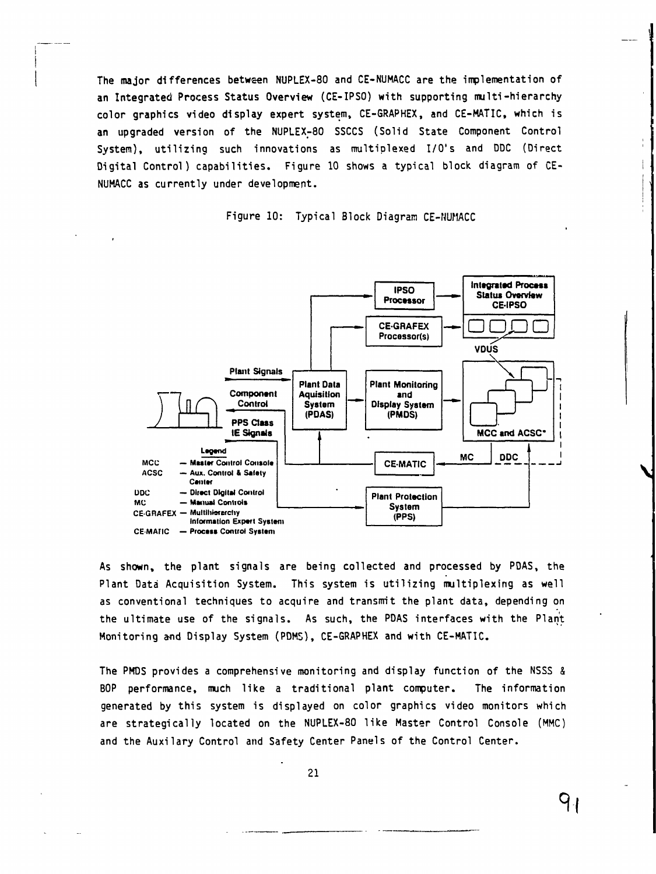The major differences between NUPLEX-80 and CE-NUMACC are the implementation of an Integrated Process Status Overview (CE-IPSO) with supporting multi-hierarchy color graphics video display expert system, CE-GRAPHEX, and CE-MATIC, which is an upgraded version of the NUPLEX-80 SSCCS (Solid State Component Control System), utilizing such innovations as multiplexed I/O's and DDC (Direct Digital Control) capabilities. Figure 10 shows a typical block diagram of CE-NUMACC as currently under development.

Figure 10: Typical Block Diagram CE-NUMACC



As shown, the plant signals are being collected and processed by PDAS, the Plant Data Acquisition System. This system is utilizing multiplexing as well as conventional techniques to acquire and transmit the plant data, depending on the ultimate use of the signals. As such, the PDAS interfaces with the Plant Monitoring and Display System (PDMS), CE-GRAPHEX and with CE-MATIC.

The PMDS provides a comprehensive monitoring and display function of the NSSS & BOP performance, much like a traditional plant computer. The information generated by this system is displayed on color graphics video monitors which are strategically located on the NUPLEX-80 like Master Control Console (MMC) and the Auxilary Control and Safety Center Panels of the Control Center.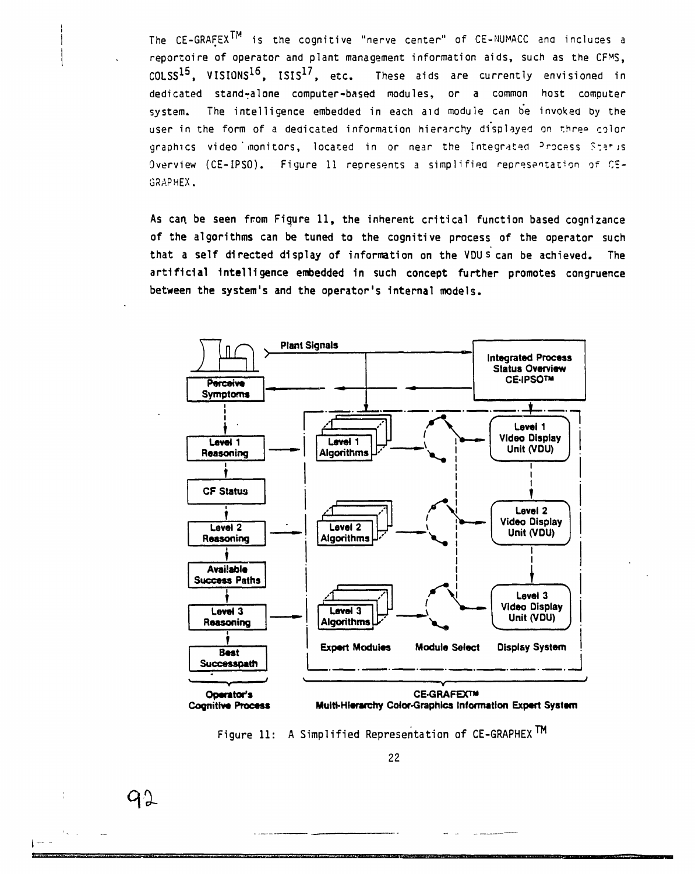**The CE-GRAFEX™** is **the** cognitive "nerve center" of CE-NUMACC ana induces a **reportoire of operator and plant management information aids, such as the CFMS, COLSS<sup>15</sup> , VISIONS<sup>16</sup> , ISIS1 7 , etc. These aids are currently envisioned** in **dedicated stand-alone computer-based modules, or a** common host computer system. **The intelligence embedded** in each aid module can be invoked by the user in the form of a dedicated information hierarchy displayed on three color graphics video monitors, located in or near the Integrated Process Staris Overview (CE-IPSO). Figure 11 represents a simplified representation of CE-GRAPHEX.

As can. be seen from Figure 11, the inherent critical function based cognizance of the algorithms can be tuned to the cognitive process of the operator such that a self directed display of information on the VDU s can be achieved. The artificial Intelligence embedded in such concept further promotes congruence between the system's and the operator's internal models.





92

 $1 - -$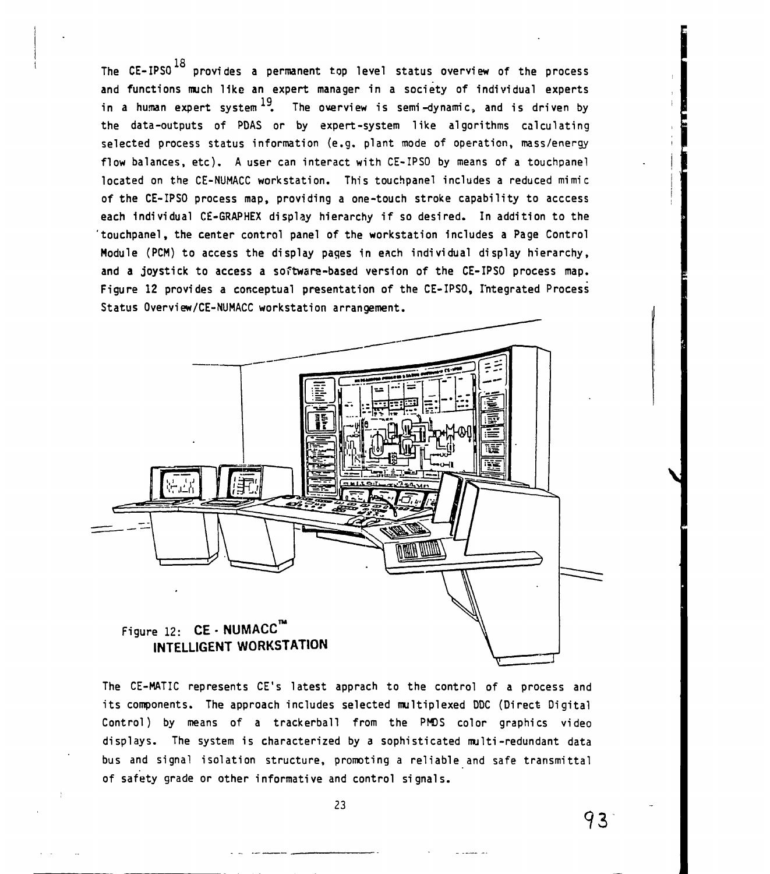The CE-IPSO $^{18}$  provides a permanent top level status overview of the process and functions much like an expert manager in a society of individual experts in a human expert system $^{19} \!\!\!~~$  The overview is semi-dynamic, and is driven by the data-outputs of PDAS or by expert-system like algorithms calculating selected process status information (e.g. plant mode of operation, mass/energy flow balances, etc). A user can interact with CE-IPSO by means of a touchpanel located on the CE-NUMACC workstation. This touchpanel includes a reduced mimic of the CE-IPSO process map, providing a one-touch stroke capability to acccess each individual CE-GRAPHEX display hierarchy if so desired. In addition to the 'touchpanel, the center control panel of the workstation includes a Page Control Module (PCM) to access the display pages in each individual display hierarchy, and a joystick to access a softwara-based version of the CE-IPSO process map. Figure 12 provides a conceptual presentation of the CE-IPSO, Integrated Process Status Overview/CE-NUMACC workstation arrangement.



The CE-MATIC represents CE's latest apprach to the control of a process and its components. The approach includes selected multiplexed DDC (Direct Digital Control) by means of a trackerball from the PMDS color graphics video displays. The system is characterized by a sophisticated multi-redundant data bus and signal isolation structure, promoting a reliable and safe transmittal of safety grade or other informative and control signals.

23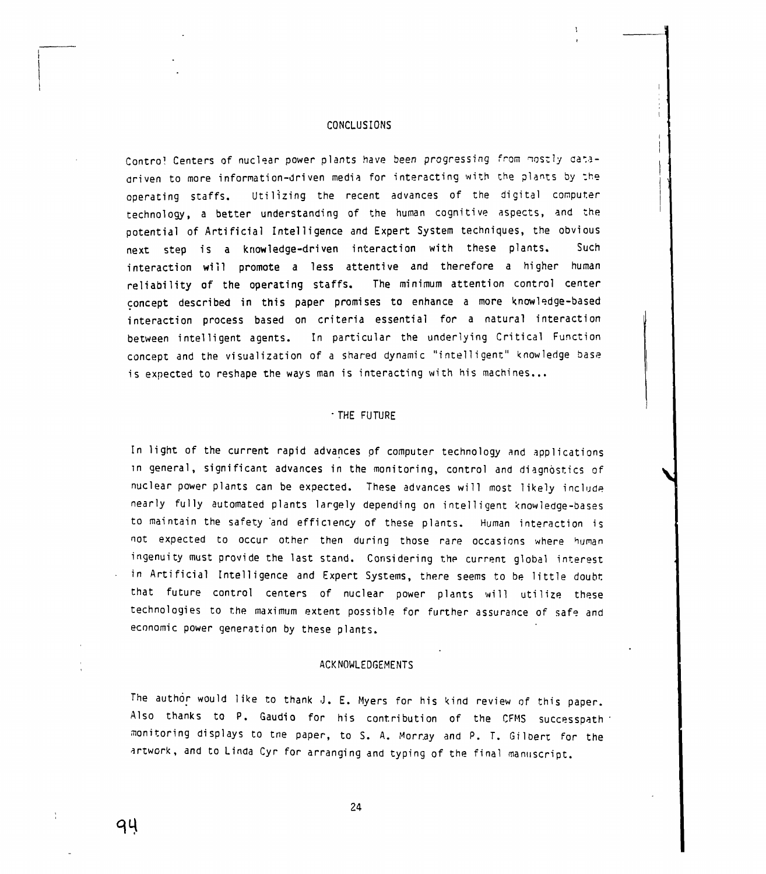#### CONCLUSIONS

Control Centers of nuclear power plants have been progressing from mostly datadriven to more information-driven media for interacting with the plants by :he operating staffs. Utilizing the recent advances of the digital computer technology, a better understanding of the human cognitive aspects, and the potential of Artificial Intelligence and Expert System techniques, the obvious next step is a knowledge-driven interaction with these plants. Such interaction will promote a less attentive and therefore a higher human reliability of the operating staffs. The minimum attention control center concept described in this paper promises to enhance a more knowledge-based interaction process based on criteria essential for a natural interaction between intelligent agents. In particular the underlying Critical Function concept and the visualization of a shared dynamic "intelligent" knowledge base is expected to reshape the ways man is interacting with his machines...

### • THE FUTURE

In light of the current rapid advances of computer technology and applications in general, significant advances in the monitoring, control and diagnostics of nuclear power plants can be expected. These advances will most likely include nearly fully automated plants largely depending on intelligent knowledge-bases to maintain the safety and efficiency of these plants. Human interaction is not expected to occur other then during those rare occasions where human ingenuity must provide the last stand. Considering the current global interest in Artificial Intelligence and Expert Systems, there seems to be little doubt that future control centers of nuclear power plants will utilize these technologies to the maximum extent possible for further assurance of safe and economic power generation by these plants.

#### ACKNOWLEDGEMENTS

The author would like to thank J. E. Myers for his kind review of this paper. Also thanks to P. Gaudio for his contribution of the CFMS successpath monitoring displays to tne paper, to S. A. Morray and P. T. Gilbert for the artwork, and to Linda Cyr for arranging and typing of the final manuscript.

24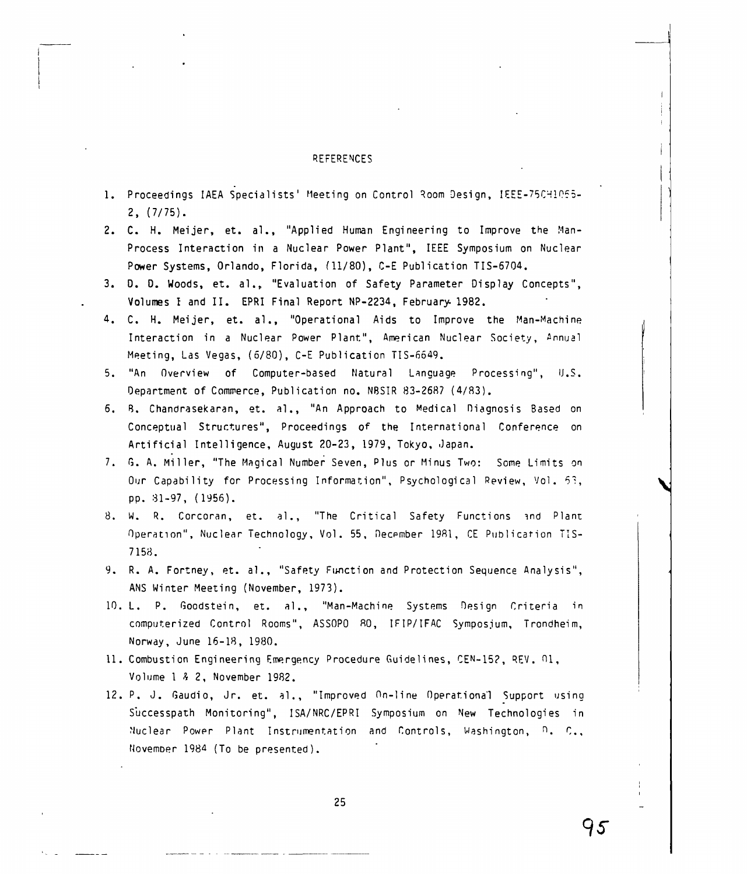### REFERENCES

- 1. Proceedings IAEA Specialists' Meeting on Control Room Design, IEEE-75CH1055-2, (7/75).
- 2. C. H. Meijer, et. al., "Applied Human Engineering to Improve the Man-Process Interaction in a Nuclear Power Plant", IEEE Symposium on Nuclear Power Systems, Orlando, Florida, (11/80), C-E Publication TIS-6704.
- 3. D. D. Woods, et. al., "Evaluation of Safety Parameter Display Concepts", Volumes I and II. EPRI Final Report NP-2234, February 1982.
- 4. C. H. Meijer, et. al., "Operational Aids to Improve the Man-Machine Interaction in a Nuclear Power Plant", American Nuclear Society, Annual Meeting, Las Vegas, (5/80), C-E Publication TIS-6649.
- 5. "An Overview of Computer-based Natural Language Processing", U.S. Department of Commerce, Publication no. N8SIR 83-2687 (4/83).
- 6. B. Chandrasekaran, et. al., "An Approach to Medical Diagnosis Based on Conceptual Structures", Proceedings of the International Conference on Artificial Intelligence, August 20-23, 1979, Tokyo, Japan.
- 7. G. A. Miller, "The Magical Number Seven, Plus or Minus Two: Some Limits on Our Capability for Processing Information", Psychological Review, Vol. 53, pp. 31-97, (1956).
- 8. W. R. Corcoran, et. al., "The Critical Safety Functions and Plant Operation", Nuclear Technology, Vol . 55, Decpmber 1981, CE Publication TIS-7158.
- 9. R. A. Fortney, et. al., "Safety Function and Protection Sequence Analysis", ANS Winter Meeting (November, 1973).
- 10. L. P. Goodstein, et. al., "Man-Machine Systems Design Criteria in computerized Control Rooms", ASSOPO 80, IFIP/IFAC Symposium, Trondheim, Norway, June 16-18, 1980.
- 11. Combustion Engineering Emergency Procedure Guidelines, CEN-152, REV. 01, Volume 1 & 2, November 1982.
- 12. P. J. Gaudio, Jr. et. al., "Improved On-line Operational Support using Successpath Monitoring", ISA/NRC/EPRI Symposium on New Technologies in Nuclear Power Plant Instrumentation and Controls, Washington, D. C., NovemDer 1984 (To be presented).